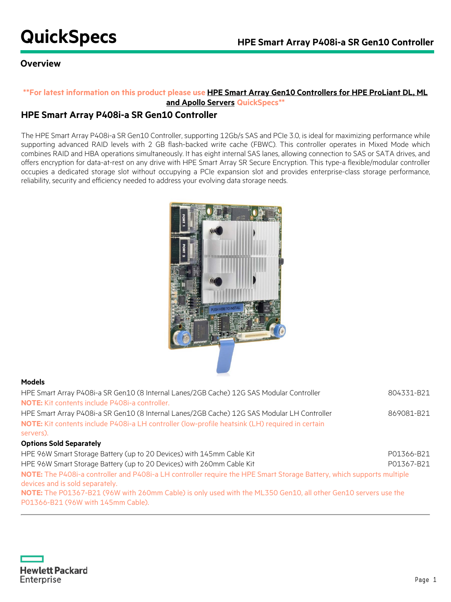## **Overview**

### **\*\*For latest information on this product please use [HPE Smart Array Gen10 Controllers for HPE ProLiant DL, ML](https://h20195.www2.hpe.com/v2/GetDocument.aspx?docname=a00047736enw)  [and Apollo Servers](https://h20195.www2.hpe.com/v2/GetDocument.aspx?docname=a00047736enw) QuickSpecs\*\***

## **HPE Smart Array P408i-a SR Gen10 Controller**

The HPE Smart Array P408i-a SR Gen10 Controller, supporting 12Gb/s SAS and PCIe 3.0, is ideal for maximizing performance while supporting advanced RAID levels with 2 GB flash-backed write cache (FBWC). This controller operates in Mixed Mode which combines RAID and HBA operations simultaneously. It has eight internal SAS lanes, allowing connection to SAS or SATA drives, and offers encryption for data-at-rest on any drive with HPE Smart Array SR Secure Encryption. This type-a flexible/modular controller occupies a dedicated storage slot without occupying a PCIe expansion slot and provides enterprise-class storage performance, reliability, security and efficiency needed to address your evolving data storage needs.



#### **Models**

| HPE Smart Array P408i-a SR Gen10 (8 Internal Lanes/2GB Cache) 12G SAS Modular Controller<br><b>NOTE:</b> Kit contents include P408i-a controller.                                                                                                                          | 804331-B21 |
|----------------------------------------------------------------------------------------------------------------------------------------------------------------------------------------------------------------------------------------------------------------------------|------------|
| HPE Smart Array P408i-a SR Gen10 (8 Internal Lanes/2GB Cache) 12G SAS Modular LH Controller<br>NOTE: Kit contents include P408i-a LH controller (low-profile heatsink (LH) required in certain<br>servers).                                                                | 869081-B21 |
| <b>Options Sold Separately</b>                                                                                                                                                                                                                                             |            |
| HPE 96W Smart Storage Battery (up to 20 Devices) with 145mm Cable Kit                                                                                                                                                                                                      | P01366-B21 |
| HPE 96W Smart Storage Battery (up to 20 Devices) with 260mm Cable Kit                                                                                                                                                                                                      | P01367-B21 |
| NOTE: The P408i-a controller and P408i-a LH controller require the HPE Smart Storage Battery, which supports multiple<br>devices and is sold separately.<br>NOTE: The P01367-B21 (96W with 260mm Cable) is only used with the ML350 Gen10, all other Gen10 servers use the |            |
| P01366-B21 (96W with 145mm Cable).                                                                                                                                                                                                                                         |            |

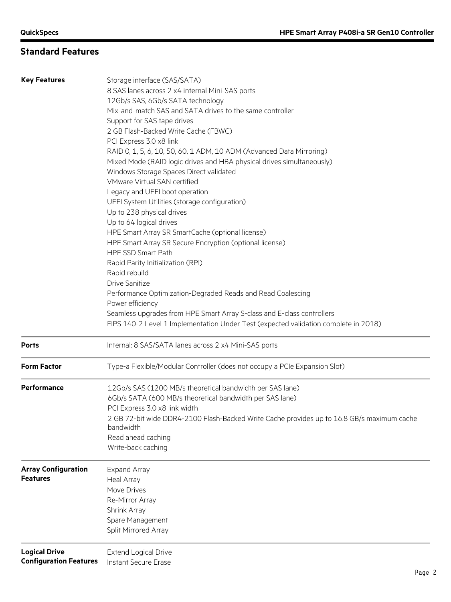## **Standard Features**

| <b>Key Features</b>           | Storage interface (SAS/SATA)                                                                                                                              |  |  |  |
|-------------------------------|-----------------------------------------------------------------------------------------------------------------------------------------------------------|--|--|--|
|                               | 8 SAS lanes across 2 x4 internal Mini-SAS ports                                                                                                           |  |  |  |
|                               | 12Gb/s SAS, 6Gb/s SATA technology                                                                                                                         |  |  |  |
|                               | Mix-and-match SAS and SATA drives to the same controller                                                                                                  |  |  |  |
|                               | Support for SAS tape drives                                                                                                                               |  |  |  |
|                               | 2 GB Flash-Backed Write Cache (FBWC)                                                                                                                      |  |  |  |
|                               | PCI Express 3.0 x8 link                                                                                                                                   |  |  |  |
|                               |                                                                                                                                                           |  |  |  |
|                               | RAID 0, 1, 5, 6, 10, 50, 60, 1 ADM, 10 ADM (Advanced Data Mirroring)                                                                                      |  |  |  |
|                               | Mixed Mode (RAID logic drives and HBA physical drives simultaneously)                                                                                     |  |  |  |
|                               | Windows Storage Spaces Direct validated                                                                                                                   |  |  |  |
|                               | VMware Virtual SAN certified<br>Legacy and UEFI boot operation                                                                                            |  |  |  |
|                               |                                                                                                                                                           |  |  |  |
|                               | UEFI System Utilities (storage configuration)                                                                                                             |  |  |  |
|                               | Up to 238 physical drives                                                                                                                                 |  |  |  |
|                               | Up to 64 logical drives                                                                                                                                   |  |  |  |
|                               | HPE Smart Array SR SmartCache (optional license)                                                                                                          |  |  |  |
|                               | HPE Smart Array SR Secure Encryption (optional license)                                                                                                   |  |  |  |
|                               | <b>HPE SSD Smart Path</b>                                                                                                                                 |  |  |  |
|                               | Rapid Parity Initialization (RPI)                                                                                                                         |  |  |  |
|                               | Rapid rebuild                                                                                                                                             |  |  |  |
|                               | <b>Drive Sanitize</b>                                                                                                                                     |  |  |  |
|                               | Performance Optimization-Degraded Reads and Read Coalescing<br>Power efficiency<br>Seamless upgrades from HPE Smart Array S-class and E-class controllers |  |  |  |
|                               |                                                                                                                                                           |  |  |  |
|                               |                                                                                                                                                           |  |  |  |
|                               | FIPS 140-2 Level 1 Implementation Under Test (expected validation complete in 2018)                                                                       |  |  |  |
| <b>Ports</b>                  | Internal: 8 SAS/SATA lanes across 2 x4 Mini-SAS ports                                                                                                     |  |  |  |
| <b>Form Factor</b>            | Type-a Flexible/Modular Controller (does not occupy a PCIe Expansion Slot)                                                                                |  |  |  |
| Performance                   | 12Gb/s SAS (1200 MB/s theoretical bandwidth per SAS lane)                                                                                                 |  |  |  |
|                               | 6Gb/s SATA (600 MB/s theoretical bandwidth per SAS lane)                                                                                                  |  |  |  |
|                               | PCI Express 3.0 x8 link width                                                                                                                             |  |  |  |
|                               | 2 GB 72-bit wide DDR4-2100 Flash-Backed Write Cache provides up to 16.8 GB/s maximum cache                                                                |  |  |  |
|                               | bandwidth                                                                                                                                                 |  |  |  |
|                               | Read ahead caching                                                                                                                                        |  |  |  |
|                               | Write-back caching                                                                                                                                        |  |  |  |
| <b>Array Configuration</b>    | <b>Expand Array</b>                                                                                                                                       |  |  |  |
| <b>Features</b>               | Heal Array                                                                                                                                                |  |  |  |
|                               | Move Drives                                                                                                                                               |  |  |  |
|                               | Re-Mirror Array                                                                                                                                           |  |  |  |
|                               | Shrink Array                                                                                                                                              |  |  |  |
|                               | Spare Management                                                                                                                                          |  |  |  |
|                               | Split Mirrored Array                                                                                                                                      |  |  |  |
| <b>Logical Drive</b>          | <b>Extend Logical Drive</b>                                                                                                                               |  |  |  |
| <b>Configuration Features</b> | Instant Secure Erase                                                                                                                                      |  |  |  |
|                               |                                                                                                                                                           |  |  |  |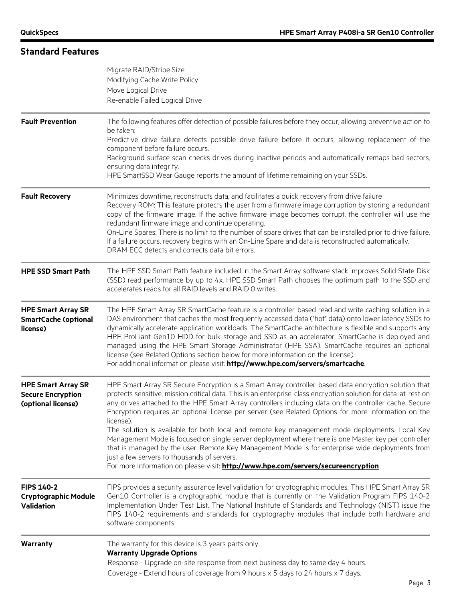## **Standard Features**

|                                                                                                                                                                                                                                                                          | Migrate RAID/Stripe Size<br>Modifying Cache Write Policy<br>Move Logical Drive<br>Re-enable Failed Logical Drive                                                                                                                                                                                                                                                                                                                                                                                                                                                                                                                                                                                                                                                                                                                                                                                           |  |  |
|--------------------------------------------------------------------------------------------------------------------------------------------------------------------------------------------------------------------------------------------------------------------------|------------------------------------------------------------------------------------------------------------------------------------------------------------------------------------------------------------------------------------------------------------------------------------------------------------------------------------------------------------------------------------------------------------------------------------------------------------------------------------------------------------------------------------------------------------------------------------------------------------------------------------------------------------------------------------------------------------------------------------------------------------------------------------------------------------------------------------------------------------------------------------------------------------|--|--|
| <b>Fault Prevention</b>                                                                                                                                                                                                                                                  | The following features offer detection of possible failures before they occur, allowing preventive action to<br>be taken:<br>Predictive drive failure detects possible drive failure before it occurs, allowing replacement of the<br>component before failure occurs.<br>Background surface scan checks drives during inactive periods and automatically remaps bad sectors,<br>ensuring data integrity.<br>HPE SmartSSD Wear Gauge reports the amount of lifetime remaining on your SSDs.                                                                                                                                                                                                                                                                                                                                                                                                                |  |  |
| <b>Fault Recovery</b>                                                                                                                                                                                                                                                    | Minimizes downtime, reconstructs data, and facilitates a quick recovery from drive failure<br>Recovery ROM: This feature protects the user from a firmware image corruption by storing a redundant<br>copy of the firmware image. If the active firmware image becomes corrupt, the controller will use the<br>redundant firmware image and continue operating.<br>On-Line Spares: There is no limit to the number of spare drives that can be installed prior to drive failure.<br>If a failure occurs, recovery begins with an On-Line Spare and data is reconstructed automatically.<br>DRAM ECC detects and corrects data bit errors.                                                                                                                                                                                                                                                                  |  |  |
| <b>HPE SSD Smart Path</b>                                                                                                                                                                                                                                                | The HPE SSD Smart Path feature included in the Smart Array software stack improves Solid State Disk<br>(SSD) read performance by up to 4x. HPE SSD Smart Path chooses the optimum path to the SSD and<br>accelerates reads for all RAID levels and RAID 0 writes.                                                                                                                                                                                                                                                                                                                                                                                                                                                                                                                                                                                                                                          |  |  |
| <b>HPE Smart Array SR</b><br><b>SmartCache (optional</b><br>license)                                                                                                                                                                                                     | The HPE Smart Array SR SmartCache feature is a controller-based read and write caching solution in a<br>DAS environment that caches the most frequently accessed data ("hot" data) onto lower latency SSDs to<br>dynamically accelerate application workloads. The SmartCache architecture is flexible and supports any<br>HPE ProLiant Gen10 HDD for bulk storage and SSD as an accelerator. SmartCache is deployed and<br>managed using the HPE Smart Storage Administrator (HPE SSA). SmartCache requires an optional<br>license (see Related Options section below for more information on the license).<br>For additional information please visit: http://www.hpe.com/servers/smartcache.                                                                                                                                                                                                            |  |  |
| <b>HPE Smart Array SR</b><br><b>Secure Encryption</b><br>(optional license)                                                                                                                                                                                              | HPE Smart Array SR Secure Encryption is a Smart Array controller-based data encryption solution that<br>protects sensitive, mission critical data. This is an enterprise-class encryption solution for data-at-rest on<br>any drives attached to the HPE Smart Array controllers including data on the controller cache. Secure<br>Encryption requires an optional license per server (see Related Options for more information on the<br>license).<br>The solution is available for both local and remote key management mode deployments. Local Key<br>Management Mode is focused on single server deployment where there is one Master key per controller<br>that is managed by the user. Remote Key Management Mode is for enterprise wide deployments from<br>just a few servers to thousands of servers.<br>For more information on please visit: <b>http://www.hpe.com/servers/secureencryption</b> |  |  |
| <b>FIPS 140-2</b><br><b>Cryptographic Module</b><br><b>Validation</b>                                                                                                                                                                                                    | FIPS provides a security assurance level validation for cryptographic modules. This HPE Smart Array SR<br>Gen10 Controller is a cryptographic module that is currently on the Validation Program FIPS 140-2<br>Implementation Under Test List. The National Institute of Standards and Technology (NIST) issue the<br>FIPS 140-2 requirements and standards for cryptography modules that include both hardware and<br>software components.                                                                                                                                                                                                                                                                                                                                                                                                                                                                |  |  |
| Warranty<br>The warranty for this device is 3 years parts only.<br><b>Warranty Upgrade Options</b><br>Response - Upgrade on-site response from next business day to same day 4 hours.<br>Coverage - Extend hours of coverage from 9 hours x 5 days to 24 hours x 7 days. |                                                                                                                                                                                                                                                                                                                                                                                                                                                                                                                                                                                                                                                                                                                                                                                                                                                                                                            |  |  |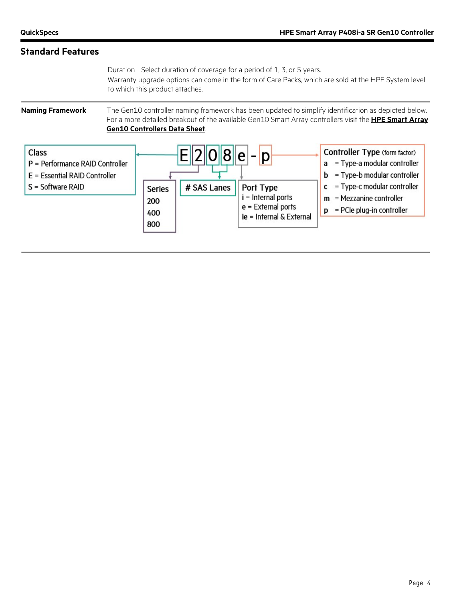## **Standard Features**

Duration - Select duration of coverage for a period of 1, 3, or 5 years. Warranty upgrade options can come in the form of Care Packs, which are sold at the HPE System level to which this product attaches.

**Naming Framework** The Gen10 controller naming framework has been updated to simplify identification as depicted below. For a more detailed breakout of the available Gen10 Smart Array controllers visit the **[HPE Smart Array](https://www.hpe.com/h20195/v2/Getdocument.aspx?docname=a00017196ENW)  [Gen10 Controllers Data Sheet](https://www.hpe.com/h20195/v2/Getdocument.aspx?docname=a00017196ENW)**.

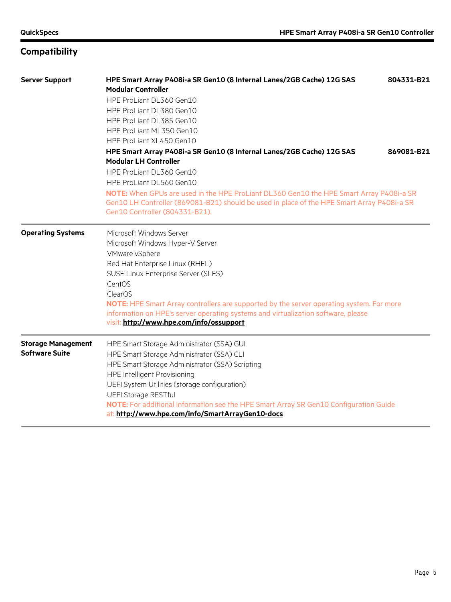# **Compatibility**

| <b>Server Support</b>     | HPE Smart Array P408i-a SR Gen10 (8 Internal Lanes/2GB Cache) 12G SAS<br>804331-B21<br><b>Modular Controller</b>    |  |  |  |  |
|---------------------------|---------------------------------------------------------------------------------------------------------------------|--|--|--|--|
|                           | HPE ProLiant DL360 Gen10                                                                                            |  |  |  |  |
|                           | HPE ProLiant DL380 Gen10                                                                                            |  |  |  |  |
|                           | HPE ProLiant DL385 Gen10                                                                                            |  |  |  |  |
|                           | HPE ProLiant ML350 Gen10                                                                                            |  |  |  |  |
|                           | HPE ProLiant XL450 Gen10                                                                                            |  |  |  |  |
|                           | HPE Smart Array P408i-a SR Gen10 (8 Internal Lanes/2GB Cache) 12G SAS<br>869081-B21<br><b>Modular LH Controller</b> |  |  |  |  |
|                           | HPE ProLiant DL360 Gen10                                                                                            |  |  |  |  |
|                           | HPE ProLiant DL560 Gen10                                                                                            |  |  |  |  |
|                           | NOTE: When GPUs are used in the HPE ProLiant DL360 Gen10 the HPE Smart Array P408i-a SR                             |  |  |  |  |
|                           | Gen10 LH Controller (869081-B21) should be used in place of the HPE Smart Array P408i-a SR                          |  |  |  |  |
|                           | Gen10 Controller (804331-B21).                                                                                      |  |  |  |  |
| <b>Operating Systems</b>  | Microsoft Windows Server                                                                                            |  |  |  |  |
|                           | Microsoft Windows Hyper-V Server                                                                                    |  |  |  |  |
|                           | VMware vSphere                                                                                                      |  |  |  |  |
|                           | Red Hat Enterprise Linux (RHEL)                                                                                     |  |  |  |  |
|                           | SUSE Linux Enterprise Server (SLES)                                                                                 |  |  |  |  |
|                           | CentOS                                                                                                              |  |  |  |  |
|                           | ClearOS                                                                                                             |  |  |  |  |
|                           | NOTE: HPE Smart Array controllers are supported by the server operating system. For more                            |  |  |  |  |
|                           | information on HPE's server operating systems and virtualization software, please                                   |  |  |  |  |
|                           | visit: http://www.hpe.com/info/ossupport                                                                            |  |  |  |  |
| <b>Storage Management</b> | HPE Smart Storage Administrator (SSA) GUI                                                                           |  |  |  |  |
| <b>Software Suite</b>     | HPE Smart Storage Administrator (SSA) CLI                                                                           |  |  |  |  |
|                           | HPE Smart Storage Administrator (SSA) Scripting                                                                     |  |  |  |  |
|                           | <b>HPE Intelligent Provisioning</b>                                                                                 |  |  |  |  |
|                           | UEFI System Utilities (storage configuration)                                                                       |  |  |  |  |
|                           | <b>UEFI Storage RESTful</b>                                                                                         |  |  |  |  |
|                           | NOTE: For additional information see the HPE Smart Array SR Gen10 Configuration Guide                               |  |  |  |  |
|                           | at: http://www.hpe.com/info/SmartArrayGen10-docs                                                                    |  |  |  |  |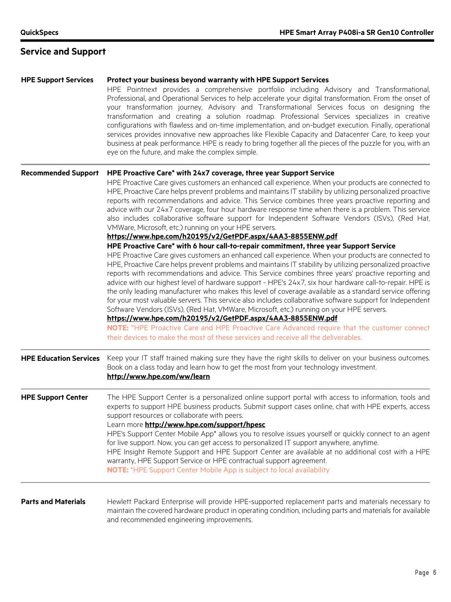# **Service and Support**

| <b>HPE Support Services</b>   | Protect your business beyond warranty with HPE Support Services<br>HPE Pointnext provides a comprehensive portfolio including Advisory and Transformational,<br>Professional, and Operational Services to help accelerate your digital transformation. From the onset of<br>your transformation journey, Advisory and Transformational Services focus on designing the<br>transformation and creating a solution roadmap. Professional Services specializes in creative<br>configurations with flawless and on-time implementation, and on-budget execution. Finally, operational<br>services provides innovative new approaches like Flexible Capacity and Datacenter Care, to keep your<br>business at peak performance. HPE is ready to bring together all the pieces of the puzzle for you, with an<br>eye on the future, and make the complex simple.                                                                                                                                                 |
|-------------------------------|------------------------------------------------------------------------------------------------------------------------------------------------------------------------------------------------------------------------------------------------------------------------------------------------------------------------------------------------------------------------------------------------------------------------------------------------------------------------------------------------------------------------------------------------------------------------------------------------------------------------------------------------------------------------------------------------------------------------------------------------------------------------------------------------------------------------------------------------------------------------------------------------------------------------------------------------------------------------------------------------------------|
| <b>Recommended Support</b>    | HPE Proactive Care* with 24x7 coverage, three year Support Service<br>HPE Proactive Care gives customers an enhanced call experience. When your products are connected to<br>HPE, Proactive Care helps prevent problems and maintains IT stability by utilizing personalized proactive<br>reports with recommendations and advice. This Service combines three years proactive reporting and<br>advice with our 24x7 coverage, four hour hardware response time when there is a problem. This service<br>also includes collaborative software support for Independent Software Vendors (ISVs), (Red Hat,<br>VMWare, Microsoft, etc.) running on your HPE servers.<br>https://www.hpe.com/h20195/v2/GetPDF.aspx/4AA3-8855ENW.pdf<br>HPE Proactive Care* with 6 hour call-to-repair commitment, three year Support Service                                                                                                                                                                                   |
|                               | HPE Proactive Care gives customers an enhanced call experience. When your products are connected to<br>HPE, Proactive Care helps prevent problems and maintains IT stability by utilizing personalized proactive<br>reports with recommendations and advice. This Service combines three years' proactive reporting and<br>advice with our highest level of hardware support - HPE's 24x7, six hour hardware call-to-repair. HPE is<br>the only leading manufacturer who makes this level of coverage available as a standard service offering<br>for your most valuable servers. This service also includes collaborative software support for Independent<br>Software Vendors (ISVs), (Red Hat, VMWare, Microsoft, etc.) running on your HPE servers.<br>https://www.hpe.com/h20195/v2/GetPDF.aspx/4AA3-8855ENW.pdf<br>NOTE: *HPE Proactive Care and HPE Proactive Care Advanced require that the customer connect<br>their devices to make the most of these services and receive all the deliverables. |
| <b>HPE Education Services</b> | Keep your IT staff trained making sure they have the right skills to deliver on your business outcomes.<br>Book on a class today and learn how to get the most from your technology investment.<br>http://www.hpe.com/ww/learn                                                                                                                                                                                                                                                                                                                                                                                                                                                                                                                                                                                                                                                                                                                                                                             |
| <b>HPE Support Center</b>     | The HPE Support Center is a personalized online support portal with access to information, tools and<br>experts to support HPE business products. Submit support cases online, chat with HPE experts, access<br>support resources or collaborate with peers.<br>Learn more <b>http://www.hpe.com/support/hpesc</b><br>HPE's Support Center Mobile App* allows you to resolve issues yourself or quickly connect to an agent<br>for live support. Now, you can get access to personalized IT support anywhere, anytime.<br>HPE Insight Remote Support and HPE Support Center are available at no additional cost with a HPE<br>warranty, HPE Support Service or HPE contractual support agreement.<br><b>NOTE:</b> *HPE Support Center Mobile App is subject to local availability                                                                                                                                                                                                                          |
| <b>Parts and Materials</b>    | Hewlett Packard Enterprise will provide HPE-supported replacement parts and materials necessary to<br>maintain the covered hardware product in operating condition, including parts and materials for available<br>and recommended engineering improvements.                                                                                                                                                                                                                                                                                                                                                                                                                                                                                                                                                                                                                                                                                                                                               |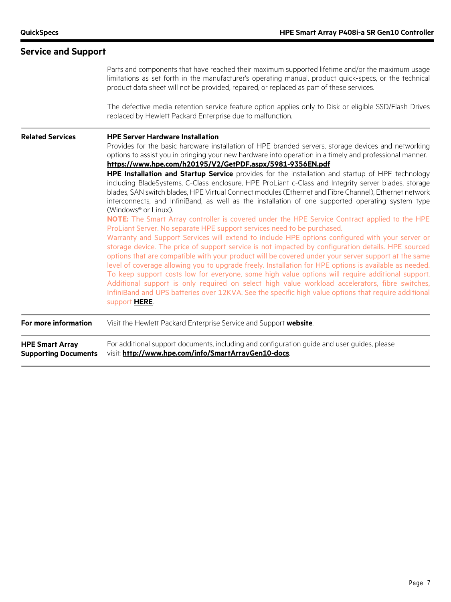|                                                       | Parts and components that have reached their maximum supported lifetime and/or the maximum usage<br>limitations as set forth in the manufacturer's operating manual, product quick-specs, or the technical<br>product data sheet will not be provided, repaired, or replaced as part of these services.<br>The defective media retention service feature option applies only to Disk or eligible SSD/Flash Drives<br>replaced by Hewlett Packard Enterprise due to malfunction.                                                                                                                                                                                                                                                                                                                                                                                                                                                                                                                                                                                                                                                                                                                                                                                                                                                                                                                                                                                                                                                                                                                                                                                                                                            |
|-------------------------------------------------------|----------------------------------------------------------------------------------------------------------------------------------------------------------------------------------------------------------------------------------------------------------------------------------------------------------------------------------------------------------------------------------------------------------------------------------------------------------------------------------------------------------------------------------------------------------------------------------------------------------------------------------------------------------------------------------------------------------------------------------------------------------------------------------------------------------------------------------------------------------------------------------------------------------------------------------------------------------------------------------------------------------------------------------------------------------------------------------------------------------------------------------------------------------------------------------------------------------------------------------------------------------------------------------------------------------------------------------------------------------------------------------------------------------------------------------------------------------------------------------------------------------------------------------------------------------------------------------------------------------------------------------------------------------------------------------------------------------------------------|
| <b>Related Services</b>                               | <b>HPE Server Hardware Installation</b><br>Provides for the basic hardware installation of HPE branded servers, storage devices and networking<br>options to assist you in bringing your new hardware into operation in a timely and professional manner.<br>https://www.hpe.com/h20195/V2/GetPDF.aspx/5981-9356EN.pdf<br>HPE Installation and Startup Service provides for the installation and startup of HPE technology<br>including BladeSystems, C-Class enclosure, HPE ProLiant c-Class and Integrity server blades, storage<br>blades, SAN switch blades, HPE Virtual Connect modules (Ethernet and Fibre Channel), Ethernet network<br>interconnects, and InfiniBand, as well as the installation of one supported operating system type<br>(Windows <sup>®</sup> or Linux).<br>NOTE: The Smart Array controller is covered under the HPE Service Contract applied to the HPE<br>ProLiant Server. No separate HPE support services need to be purchased.<br>Warranty and Support Services will extend to include HPE options configured with your server or<br>storage device. The price of support service is not impacted by configuration details. HPE sourced<br>options that are compatible with your product will be covered under your server support at the same<br>level of coverage allowing you to upgrade freely. Installation for HPE options is available as needed.<br>To keep support costs low for everyone, some high value options will require additional support.<br>Additional support is only required on select high value workload accelerators, fibre switches,<br>InfiniBand and UPS batteries over 12KVA. See the specific high value options that require additional<br>support HERE. |
| For more information                                  | Visit the Hewlett Packard Enterprise Service and Support website.                                                                                                                                                                                                                                                                                                                                                                                                                                                                                                                                                                                                                                                                                                                                                                                                                                                                                                                                                                                                                                                                                                                                                                                                                                                                                                                                                                                                                                                                                                                                                                                                                                                          |
| <b>HPE Smart Array</b><br><b>Supporting Documents</b> | For additional support documents, including and configuration guide and user guides, please<br>visit: http://www.hpe.com/info/SmartArrayGen10-docs.                                                                                                                                                                                                                                                                                                                                                                                                                                                                                                                                                                                                                                                                                                                                                                                                                                                                                                                                                                                                                                                                                                                                                                                                                                                                                                                                                                                                                                                                                                                                                                        |

# **Service and Support**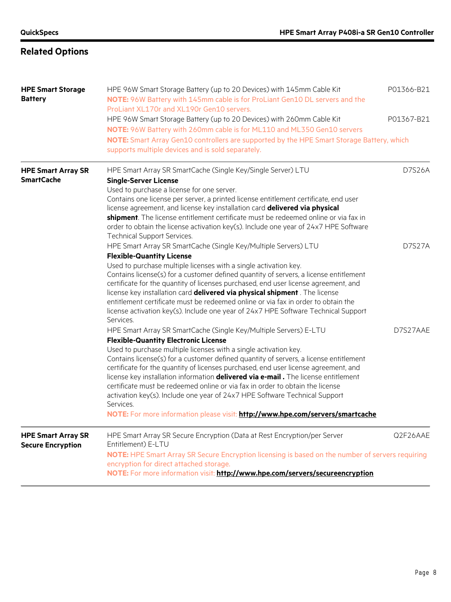# **Related Options**

| <b>HPE Smart Storage</b><br><b>Battery</b>            | HPE 96W Smart Storage Battery (up to 20 Devices) with 145mm Cable Kit<br>NOTE: 96W Battery with 145mm cable is for ProLiant Gen10 DL servers and the<br>ProLiant XL170r and XL190r Gen10 servers.                                                                                                                                                                                                                                                                                                                                                                                                                                                                                                                               | P01366-B21 |
|-------------------------------------------------------|---------------------------------------------------------------------------------------------------------------------------------------------------------------------------------------------------------------------------------------------------------------------------------------------------------------------------------------------------------------------------------------------------------------------------------------------------------------------------------------------------------------------------------------------------------------------------------------------------------------------------------------------------------------------------------------------------------------------------------|------------|
|                                                       | HPE 96W Smart Storage Battery (up to 20 Devices) with 260mm Cable Kit<br>NOTE: 96W Battery with 260mm cable is for ML110 and ML350 Gen10 servers                                                                                                                                                                                                                                                                                                                                                                                                                                                                                                                                                                                | P01367-B21 |
|                                                       | NOTE: Smart Array Gen10 controllers are supported by the HPE Smart Storage Battery, which<br>supports multiple devices and is sold separately.                                                                                                                                                                                                                                                                                                                                                                                                                                                                                                                                                                                  |            |
| <b>HPE Smart Array SR</b><br><b>SmartCache</b>        | HPE Smart Array SR SmartCache (Single Key/Single Server) LTU<br><b>Single-Server License</b><br>Used to purchase a license for one server.<br>Contains one license per server, a printed license entitlement certificate, end user<br>license agreement, and license key installation card delivered via physical<br>shipment. The license entitlement certificate must be redeemed online or via fax in<br>order to obtain the license activation key(s). Include one year of 24x7 HPE Software                                                                                                                                                                                                                                | D7S26A     |
|                                                       | <b>Technical Support Services.</b><br>HPE Smart Array SR SmartCache (Single Key/Multiple Servers) LTU<br><b>Flexible-Quantity License</b><br>Used to purchase multiple licenses with a single activation key.<br>Contains license(s) for a customer defined quantity of servers, a license entitlement<br>certificate for the quantity of licenses purchased, end user license agreement, and<br>license key installation card delivered via physical shipment. The license<br>entitlement certificate must be redeemed online or via fax in order to obtain the<br>license activation key(s). Include one year of 24x7 HPE Software Technical Support<br>Services.                                                             | D7S27A     |
|                                                       | HPE Smart Array SR SmartCache (Single Key/Multiple Servers) E-LTU<br><b>Flexible-Quantity Electronic License</b><br>Used to purchase multiple licenses with a single activation key.<br>Contains license(s) for a customer defined quantity of servers, a license entitlement<br>certificate for the quantity of licenses purchased, end user license agreement, and<br>license key installation information <b>delivered via e-mail.</b> The license entitlement<br>certificate must be redeemed online or via fax in order to obtain the license<br>activation key(s). Include one year of 24x7 HPE Software Technical Support<br>Services.<br>NOTE: For more information please visit: http://www.hpe.com/servers/smartcache | D7S27AAE   |
| <b>HPE Smart Array SR</b><br><b>Secure Encryption</b> | HPE Smart Array SR Secure Encryption (Data at Rest Encryption/per Server<br>Entitlement) E-LTU<br>NOTE: HPE Smart Array SR Secure Encryption licensing is based on the number of servers requiring<br>encryption for direct attached storage.<br>NOTE: For more information visit: http://www.hpe.com/servers/secureencryption                                                                                                                                                                                                                                                                                                                                                                                                  | Q2F26AAE   |